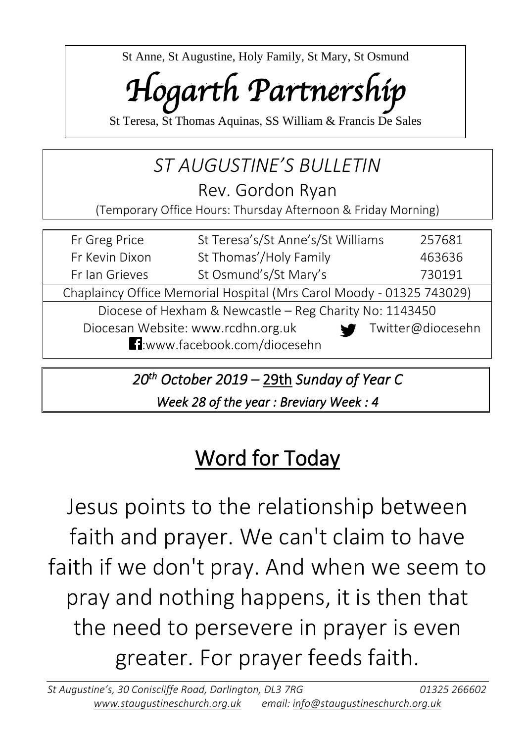St Anne, St Augustine, Holy Family, St Mary, St Osmund

# *Hogarth Partnership*

St Teresa, St Thomas Aquinas, SS William & Francis De Sales

## *ST AUGUSTINE'S BULLETIN*

Rev. Gordon Ryan

(Temporary Office Hours: Thursday Afternoon & Friday Morning)

| Fr Greg Price                                                                    | St Teresa's/St Anne's/St Williams | 257681 |  |  |
|----------------------------------------------------------------------------------|-----------------------------------|--------|--|--|
| Fr Kevin Dixon                                                                   | St Thomas'/Holy Family            | 463636 |  |  |
| Fr Ian Grieves                                                                   | St Osmund's/St Mary's<br>730191   |        |  |  |
| Chaplaincy Office Memorial Hospital (Mrs Carol Moody - 01325 743029)             |                                   |        |  |  |
| Diocese of Hexham & Newcastle – Reg Charity No: 1143450                          |                                   |        |  |  |
| Diocesan Website: www.rcdhn.org.uk<br>Twitter@diocesehn<br>$\blacktriangleright$ |                                   |        |  |  |
| <b>1</b> :www.facebook.com/diocesehn                                             |                                   |        |  |  |

*20th October 2019 –* 29th *Sunday of Year C* 

*Week 28 of the year : Breviary Week : 4*

## Word for Today

Jesus points to the relationship between faith and prayer. We can't claim to have faith if we don't pray. And when we seem to pray and nothing happens, it is then that the need to persevere in prayer is even greater. For prayer feeds faith.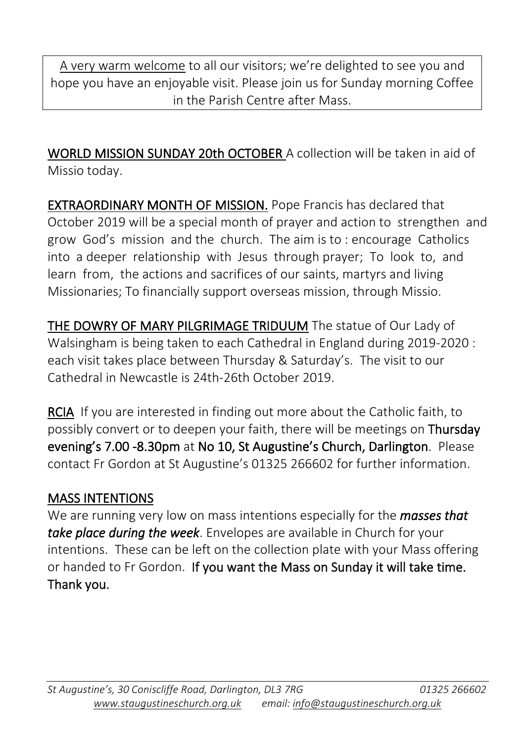A very warm welcome to all our visitors; we're delighted to see you and hope you have an enjoyable visit. Please join us for Sunday morning Coffee in the Parish Centre after Mass.

WORLD MISSION SUNDAY 20th OCTOBER A collection will be taken in aid of Missio today.

EXTRAORDINARY MONTH OF MISSION. Pope Francis has declared that October 2019 will be a special month of prayer and action to strengthen and grow God's mission and the church. The aim is to : encourage Catholics into a deeper relationship with Jesus through prayer; To look to, and learn from, the actions and sacrifices of our saints, martyrs and living Missionaries; To financially support overseas mission, through Missio.

THE DOWRY OF MARY PILGRIMAGE TRIDUUM The statue of Our Lady of Walsingham is being taken to each Cathedral in England during 2019-2020 : each visit takes place between Thursday & Saturday's. The visit to our Cathedral in Newcastle is 24th-26th October 2019.

RCIA If you are interested in finding out more about the Catholic faith, to possibly convert or to deepen your faith, there will be meetings on Thursday evening's 7.00 -8.30pm at No 10, St Augustine's Church, Darlington. Please contact Fr Gordon at St Augustine's 01325 266602 for further information.

#### MASS INTENTIONS

We are running very low on mass intentions especially for the *masses that take place during the week*. Envelopes are available in Church for your intentions. These can be left on the collection plate with your Mass offering or handed to Fr Gordon. If you want the Mass on Sunday it will take time. Thank you.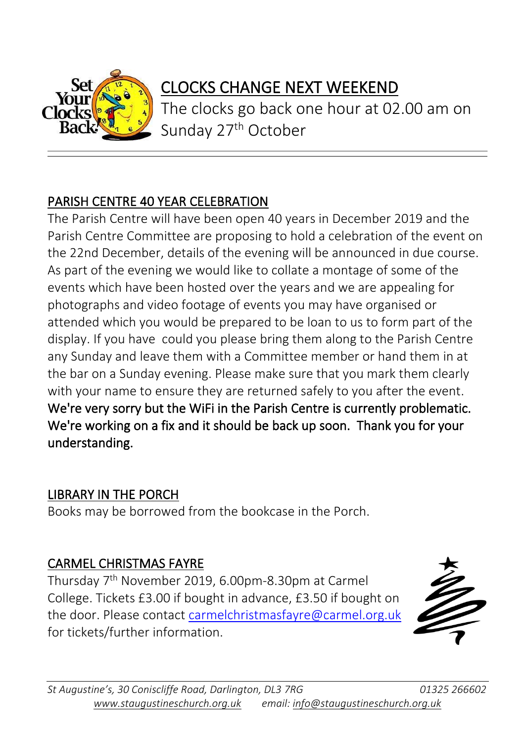

### CLOCKS CHANGE NEXT WEEKEND

The clocks go back one hour at 02.00 am on Sunday 27<sup>th</sup> October

#### PARISH CENTRE 40 YEAR CELEBRATION

The Parish Centre will have been open 40 years in December 2019 and the Parish Centre Committee are proposing to hold a celebration of the event on the 22nd December, details of the evening will be announced in due course. As part of the evening we would like to collate a montage of some of the events which have been hosted over the years and we are appealing for photographs and video footage of events you may have organised or attended which you would be prepared to be loan to us to form part of the display. If you have could you please bring them along to the Parish Centre any Sunday and leave them with a Committee member or hand them in at the bar on a Sunday evening. Please make sure that you mark them clearly with your name to ensure they are returned safely to you after the event. We're very sorry but the WiFi in the Parish Centre is currently problematic. We're working on a fix and it should be back up soon. Thank you for your understanding.

#### LIBRARY IN THE PORCH

Books may be borrowed from the bookcase in the Porch.

#### CARMEL CHRISTMAS FAYRE

Thursday 7 th November 2019, 6.00pm-8.30pm at Carmel College. Tickets £3.00 if bought in advance, £3.50 if bought on the door. Please contact [carmelchristmasfayre@carmel.org.uk](mailto:carmelchristmasfayre@carmel.org.uk) for tickets/further information.



 $\overline{a}$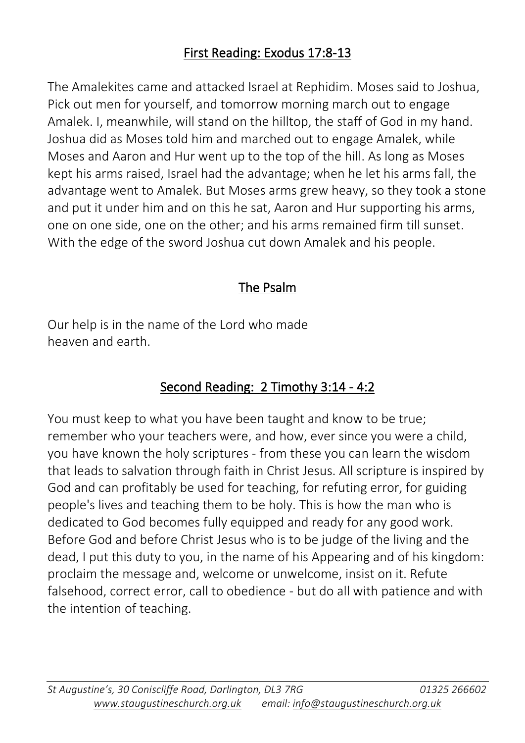The Amalekites came and attacked Israel at Rephidim. Moses said to Joshua, Pick out men for yourself, and tomorrow morning march out to engage Amalek. I, meanwhile, will stand on the hilltop, the staff of God in my hand. Joshua did as Moses told him and marched out to engage Amalek, while Moses and Aaron and Hur went up to the top of the hill. As long as Moses kept his arms raised, Israel had the advantage; when he let his arms fall, the advantage went to Amalek. But Moses arms grew heavy, so they took a stone and put it under him and on this he sat, Aaron and Hur supporting his arms, one on one side, one on the other; and his arms remained firm till sunset. With the edge of the sword Joshua cut down Amalek and his people.

#### The Psalm

Our help is in the name of the Lord who made heaven and earth.

#### Second Reading: 2 Timothy 3:14 - 4:2

You must keep to what you have been taught and know to be true; remember who your teachers were, and how, ever since you were a child, you have known the holy scriptures - from these you can learn the wisdom that leads to salvation through faith in Christ Jesus. All scripture is inspired by God and can profitably be used for teaching, for refuting error, for guiding people's lives and teaching them to be holy. This is how the man who is dedicated to God becomes fully equipped and ready for any good work. Before God and before Christ Jesus who is to be judge of the living and the dead, I put this duty to you, in the name of his Appearing and of his kingdom: proclaim the message and, welcome or unwelcome, insist on it. Refute falsehood, correct error, call to obedience - but do all with patience and with the intention of teaching.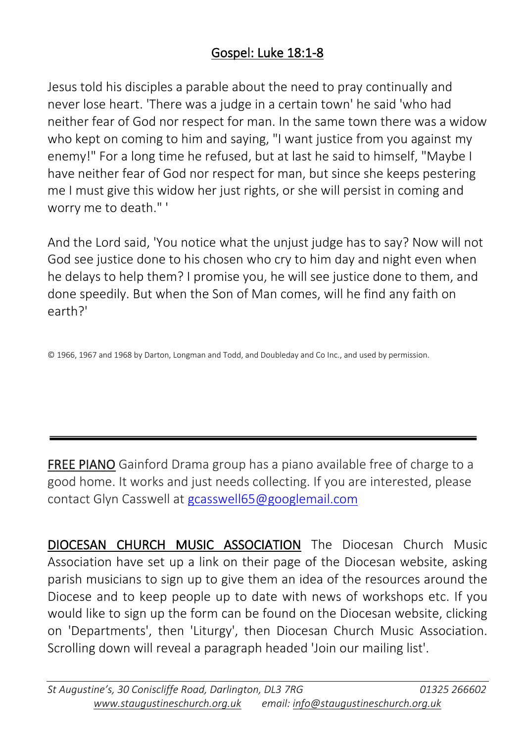#### Gospel: Luke 18:1-8

Jesus told his disciples a parable about the need to pray continually and never lose heart. 'There was a judge in a certain town' he said 'who had neither fear of God nor respect for man. In the same town there was a widow who kept on coming to him and saying, "I want justice from you against my enemy!" For a long time he refused, but at last he said to himself, "Maybe I have neither fear of God nor respect for man, but since she keeps pestering me I must give this widow her just rights, or she will persist in coming and worry me to death." '

And the Lord said, 'You notice what the unjust judge has to say? Now will not God see justice done to his chosen who cry to him day and night even when he delays to help them? I promise you, he will see justice done to them, and done speedily. But when the Son of Man comes, will he find any faith on earth?'

© 1966, 1967 and 1968 by Darton, Longman and Todd, and Doubleday and Co Inc., and used by permission.

FREE PIANO Gainford Drama group has a piano available free of charge to a good home. It works and just needs collecting. If you are interested, please contact Glyn Casswell at [gcasswell65@googlemail.com](mailto:gcasswell65@googlemail.com)

DIOCESAN CHURCH MUSIC ASSOCIATION The Diocesan Church Music Association have set up a link on their page of the Diocesan website, asking parish musicians to sign up to give them an idea of the resources around the Diocese and to keep people up to date with news of workshops etc. If you would like to sign up the form can be found on the Diocesan website, clicking on 'Departments', then 'Liturgy', then Diocesan Church Music Association. Scrolling down will reveal a paragraph headed 'Join our mailing list'.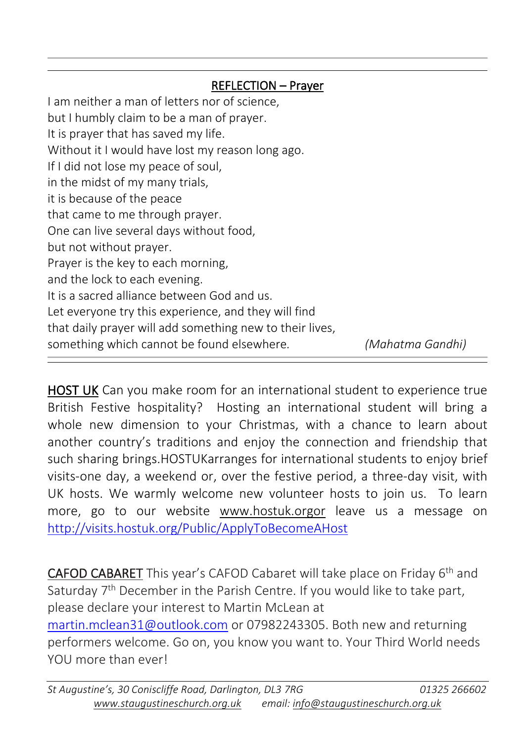#### $\overline{a}$ REFLECTION – Prayer

I am neither a man of letters nor of science, but I humbly claim to be a man of prayer. It is prayer that has saved my life. Without it I would have lost my reason long ago. If I did not lose my peace of soul, in the midst of my many trials, it is because of the peace that came to me through prayer. One can live several days without food, but not without prayer. Prayer is the key to each morning, and the lock to each evening. It is a sacred alliance between God and us. Let everyone try this experience, and they will find that daily prayer will add something new to their lives, something which cannot be found elsewhere*. (Mahatma Gandhi)*

HOST UK Can you make room for an international student to experience true British Festive hospitality? Hosting an international student will bring a whole new dimension to your Christmas, with a chance to learn about another country's traditions and enjoy the connection and friendship that such sharing brings.HOSTUKarranges for international students to enjoy brief visits-one day, a weekend or, over the festive period, a three-day visit, with UK hosts. We warmly welcome new volunteer hosts to join us. To learn more, go to our website www.hostuk.orgor leave us a message on <http://visits.hostuk.org/Public/ApplyToBecomeAHost>

CAFOD CABARET This year's CAFOD Cabaret will take place on Friday 6th and Saturday 7<sup>th</sup> December in the Parish Centre. If you would like to take part, please declare your interest to Martin McLean at [martin.mclean31@outlook.com](mailto:martin.mclean31@outlook.com) or 07982243305. Both new and returning performers welcome. Go on, you know you want to. Your Third World needs YOU more than ever!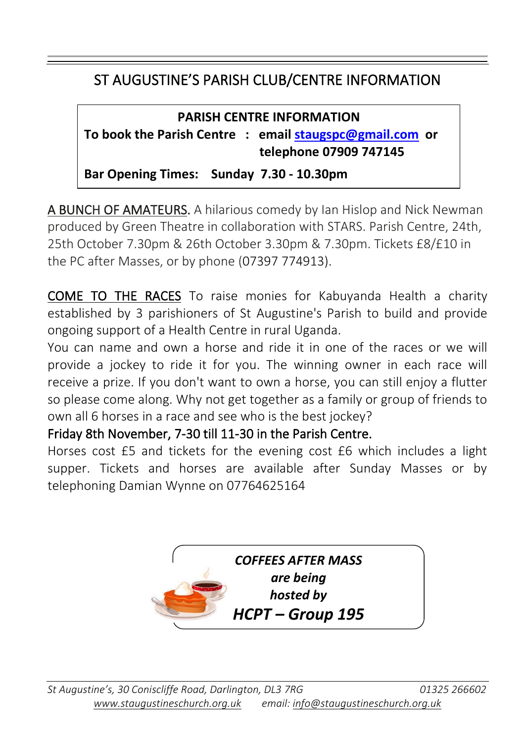#### ST AUGUSTINE'S PARISH CLUB/CENTRE INFORMATION

 $\overline{\phantom{a}}$ 

#### **PARISH CENTRE INFORMATION To book the Parish Centre : email [staugspc@gmail.com](mailto:staugspc@gmail.com) or telephone 07909 747145**

**Bar Opening Times: Sunday 7.30 - 10.30pm**

A BUNCH OF AMATEURS. A hilarious comedy by Ian Hislop and Nick Newman produced by Green Theatre in collaboration with STARS. Parish Centre, 24th, 25th October 7.30pm & 26th October 3.30pm & 7.30pm. Tickets £8/£10 in the PC after Masses, or by phone (07397 774913).

COME TO THE RACES To raise monies for Kabuyanda Health a charity established by 3 parishioners of St Augustine's Parish to build and provide ongoing support of a Health Centre in rural Uganda.

You can name and own a horse and ride it in one of the races or we will provide a jockey to ride it for you. The winning owner in each race will receive a prize. If you don't want to own a horse, you can still enjoy a flutter so please come along. Why not get together as a family or group of friends to own all 6 horses in a race and see who is the best jockey?

Friday 8th November, 7-30 till 11-30 in the Parish Centre.

Horses cost £5 and tickets for the evening cost £6 which includes a light supper. Tickets and horses are available after Sunday Masses or by telephoning Damian Wynne on 07764625164